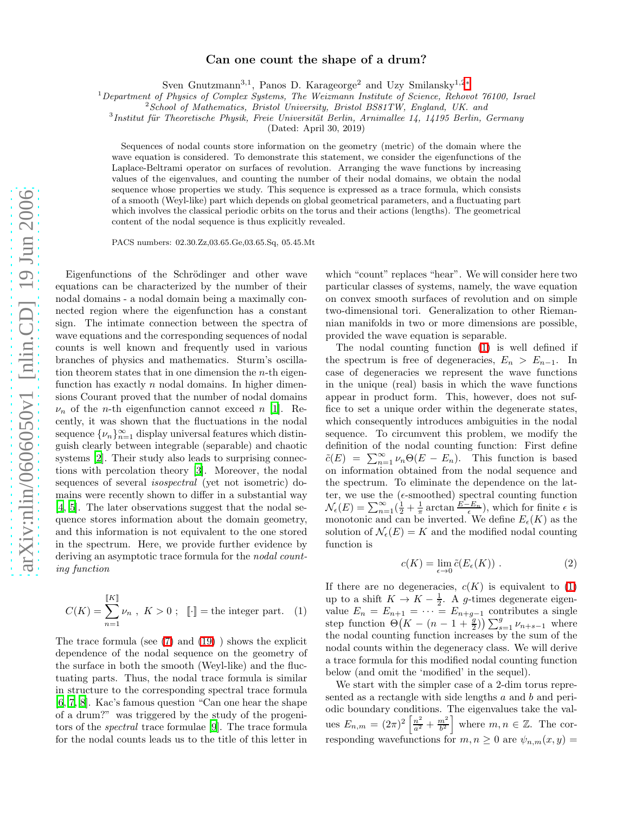## Can one count the shape of a drum?

Sven Gnutzmann<sup>3,1</sup>, Panos D. Karageorge<sup>2</sup> and Uzy Smilansky<sup>1,2[∗](#page-3-0)</sup>

 $1$ Department of Physics of Complex Systems, The Weizmann Institute of Science, Rehovot 76100, Israel

<sup>2</sup> School of Mathematics, Bristol University, Bristol BS81TW, England, UK. and

<sup>3</sup> Institut für Theoretische Physik, Freie Universität Berlin, Arnimallee 14, 14195 Berlin, Germany

(Dated: April 30, 2019)

Sequences of nodal counts store information on the geometry (metric) of the domain where the wave equation is considered. To demonstrate this statement, we consider the eigenfunctions of the Laplace-Beltrami operator on surfaces of revolution. Arranging the wave functions by increasing values of the eigenvalues, and counting the number of their nodal domains, we obtain the nodal sequence whose properties we study. This sequence is expressed as a trace formula, which consists of a smooth (Weyl-like) part which depends on global geometrical parameters, and a fluctuating part which involves the classical periodic orbits on the torus and their actions (lengths). The geometrical content of the nodal sequence is thus explicitly revealed.

PACS numbers: 02.30.Zz,03.65.Ge,03.65.Sq, 05.45.Mt

Eigenfunctions of the Schrödinger and other wave equations can be characterized by the number of their nodal domains - a nodal domain being a maximally connected region where the eigenfunction has a constant sign. The intimate connection between the spectra of wave equations and the corresponding sequences of nodal counts is well known and frequently used in various branches of physics and mathematics. Sturm's oscillation theorem states that in one dimension the  $n$ -th eigenfunction has exactly  $n$  nodal domains. In higher dimensions Courant proved that the number of nodal domains  $\nu_n$  of the *n*-th eigenfunction cannot exceed *n* [\[1](#page-3-1)]. Recently, it was shown that the fluctuations in the nodal sequence  $\{\nu_n\}_{n=1}^{\infty}$  display universal features which distinguish clearly between integrable (separable) and chaotic systems [\[2\]](#page-3-2). Their study also leads to surprising connections with percolation theory [\[3\]](#page-3-3). Moreover, the nodal sequences of several isospectral (yet not isometric) domains were recently shown to differ in a substantial way [\[4,](#page-3-4) [5](#page-3-5)]. The later observations suggest that the nodal sequence stores information about the domain geometry, and this information is not equivalent to the one stored in the spectrum. Here, we provide further evidence by deriving an asymptotic trace formula for the *nodal count*ing function

<span id="page-0-0"></span>
$$
C(K) = \sum_{n=1}^{\llbracket K \rrbracket} \nu_n \ , \ K > 0 \ ; \ \ \llbracket \cdot \rrbracket = \text{the integer part.} \ \ (1)
$$

The trace formula (see [\(7\)](#page-1-0) and [\(19\)](#page-2-0) ) shows the explicit dependence of the nodal sequence on the geometry of the surface in both the smooth (Weyl-like) and the fluctuating parts. Thus, the nodal trace formula is similar in structure to the corresponding spectral trace formula [\[6,](#page-3-6) [7](#page-3-7), [8](#page-3-8)]. Kac's famous question "Can one hear the shape of a drum?" was triggered by the study of the progenitors of the spectral trace formulae [\[9](#page-3-9)]. The trace formula for the nodal counts leads us to the title of this letter in

which "count" replaces "hear". We will consider here two particular classes of systems, namely, the wave equation on convex smooth surfaces of revolution and on simple two-dimensional tori. Generalization to other Riemannian manifolds in two or more dimensions are possible, provided the wave equation is separable.

The nodal counting function [\(1\)](#page-0-0) is well defined if the spectrum is free of degeneracies,  $E_n > E_{n-1}$ . In case of degeneracies we represent the wave functions in the unique (real) basis in which the wave functions appear in product form. This, however, does not suffice to set a unique order within the degenerate states, which consequently introduces ambiguities in the nodal sequence. To circumvent this problem, we modify the definition of the nodal counting function: First define  $\tilde{c}(E) = \sum_{n=1}^{\infty} \nu_n \Theta(E - E_n)$ . This function is based on information obtained from the nodal sequence and the spectrum. To eliminate the dependence on the latter, we use the  $(\epsilon\text{-smoothed})$  spectral counting function  $\mathcal{N}_{\epsilon}(E) = \sum_{n=1}^{\infty} (\frac{1}{2} + \frac{1}{\pi} \arctan \frac{E-E_n}{\epsilon})$ , which for finite  $\epsilon$  is monotonic and can be inverted. We define  $E_{\epsilon}(K)$  as the solution of  $\mathcal{N}_{\epsilon}(E) = K$  and the modified nodal counting function is

$$
c(K) = \lim_{\epsilon \to 0} \tilde{c}(E_{\epsilon}(K)) . \tag{2}
$$

If there are no degeneracies,  $c(K)$  is equivalent to [\(1\)](#page-0-0) up to a shift  $K \to K - \frac{1}{2}$ . A g-times degenerate eigenvalue  $E_n = E_{n+1} = \cdots = E_{n+g-1}$  contributes a single step function  $\Theta(K - (n-1+\frac{g}{2})) \sum_{s=1}^{g} \nu_{n+s-1}$  where the nodal counting function increases by the sum of the nodal counts within the degeneracy class. We will derive a trace formula for this modified nodal counting function below (and omit the 'modified' in the sequel).

We start with the simpler case of a 2-dim torus represented as a rectangle with side lengths a and b and periodic boundary conditions. The eigenvalues take the values  $E_{n,m} = (2\pi)^2 \left[\frac{n^2}{a^2} + \frac{m^2}{b^2}\right]$  where  $m, n \in \mathbb{Z}$ . The corresponding wavefunctions for  $m, n \geq 0$  are  $\psi_{n,m}(x, y) =$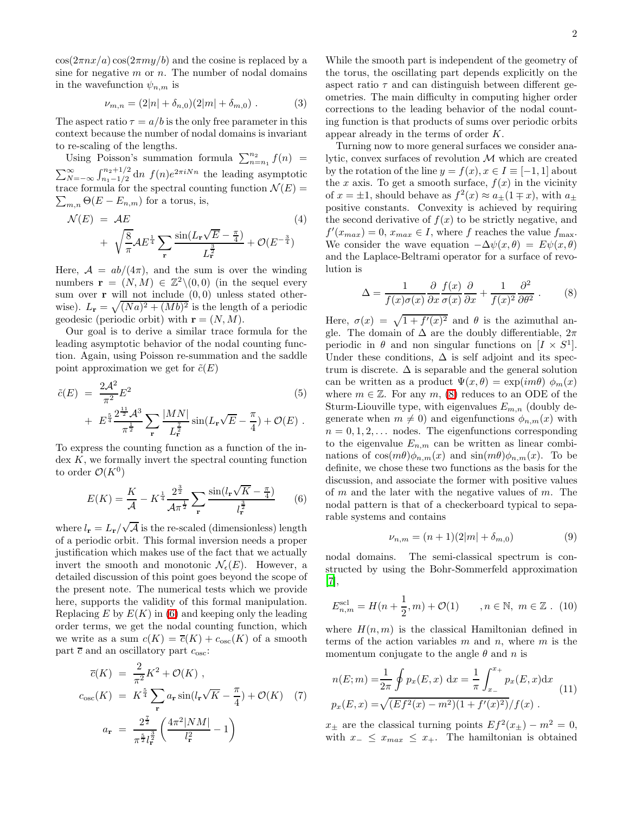$cos(2\pi nx/a) cos(2\pi my/b)$  and the cosine is replaced by a sine for negative  $m$  or  $n$ . The number of nodal domains in the wavefunction  $\psi_{n,m}$  is

$$
\nu_{m,n} = (2|n| + \delta_{n,0})(2|m| + \delta_{m,0}). \tag{3}
$$

The aspect ratio  $\tau = a/b$  is the only free parameter in this context because the number of nodal domains is invariant to re-scaling of the lengths.

Using Poisson's summation formula  $\sum_{n=n_1}^{n_2} f(n)$  =  $\sum_{N=-\infty}^{\infty} \int_{n_1-1/2}^{n_2+1/2} dn f(n)e^{2\pi i Nn}$  the leading asymptotic  $\sum_{m,n} \Theta(E - E_{n,m})$  for a torus, is, trace formula for the spectral counting function  $\mathcal{N}(E)$  =

$$
\mathcal{N}(E) = \mathcal{A}E
$$
\n
$$
+ \sqrt{\frac{8}{\pi}} \mathcal{A}E^{\frac{1}{4}} \sum_{\mathbf{r}} \frac{\sin(L_{\mathbf{r}}\sqrt{E} - \frac{\pi}{4})}{L_{\mathbf{r}}^{\frac{3}{2}}} + \mathcal{O}(E^{-\frac{3}{4}})
$$
\n(4)

Here,  $A = ab/(4\pi)$ , and the sum is over the winding numbers  $\mathbf{r} = (N, M) \in \mathbb{Z}^2 \setminus (0, 0)$  (in the sequel every sum over  $\bf{r}$  will not include  $(0,0)$  unless stated otherwise).  $L_{\mathbf{r}} = \sqrt{(Na)^2 + (Mb)^2}$  is the length of a periodic geodesic (periodic orbit) with  $\mathbf{r} = (N, M)$ .

Our goal is to derive a similar trace formula for the leading asymptotic behavior of the nodal counting function. Again, using Poisson re-summation and the saddle point approximation we get for  $\tilde{c}(E)$ 

<span id="page-1-1"></span>
$$
\tilde{c}(E) = \frac{2\mathcal{A}^2}{\pi^2} E^2
$$
\n
$$
+ E^{\frac{5}{4}} \frac{2^{\frac{11}{2}} \mathcal{A}^3}{\pi^{\frac{1}{2}}} \sum_{\mathbf{r}} \frac{|MN|}{L_{\mathbf{r}}^{\frac{7}{2}}} \sin(L_{\mathbf{r}} \sqrt{E} - \frac{\pi}{4}) + \mathcal{O}(E) .
$$
\n(5)

To express the counting function as a function of the in- $\text{dex } K$ , we formally invert the spectral counting function to order  $\mathcal{O}(K^0)$ 

$$
E(K) = \frac{K}{\mathcal{A}} - K^{\frac{1}{4}} \frac{2^{\frac{3}{2}}}{\mathcal{A}\pi^{\frac{1}{2}}} \sum_{\mathbf{r}} \frac{\sin(l_{\mathbf{r}}\sqrt{K} - \frac{\pi}{4})}{l_{\mathbf{r}}^{\frac{3}{2}}} \qquad (6)
$$

where  $l_{\mathbf{r}} = L_{\mathbf{r}} / \sqrt{\mathcal{A}}$  is the re-scaled (dimensionless) length of a periodic orbit. This formal inversion needs a proper justification which makes use of the fact that we actually invert the smooth and monotonic  $\mathcal{N}_{\epsilon}(E)$ . However, a detailed discussion of this point goes beyond the scope of the present note. The numerical tests which we provide here, supports the validity of this formal manipulation. Replacing  $E$  by  $E(K)$  in [\(6\)](#page-1-1) and keeping only the leading order terms, we get the nodal counting function, which we write as a sum  $c(K) = \overline{c}(K) + c_{osc}(K)$  of a smooth part  $\overline{c}$  and an oscillatory part  $c_{\rm osc}$ :

<span id="page-1-0"></span>
$$
\overline{c}(K) = \frac{2}{\pi^2} K^2 + \mathcal{O}(K) ,
$$
  
\n
$$
c_{\rm osc}(K) = K^{\frac{5}{4}} \sum_{\mathbf{r}} a_{\mathbf{r}} \sin(l_{\mathbf{r}} \sqrt{K} - \frac{\pi}{4}) + \mathcal{O}(K) \quad (7)
$$
  
\n
$$
a_{\mathbf{r}} = \frac{2^{\frac{7}{2}}}{\pi^{\frac{5}{2}} l_{\mathbf{r}}^{\frac{3}{2}}} \left( \frac{4\pi^2 |NM|}{l_{\mathbf{r}}^2} - 1 \right)
$$

While the smooth part is independent of the geometry of the torus, the oscillating part depends explicitly on the aspect ratio  $\tau$  and can distinguish between different geometries. The main difficulty in computing higher order corrections to the leading behavior of the nodal counting function is that products of sums over periodic orbits appear already in the terms of order K.

Turning now to more general surfaces we consider analytic, convex surfaces of revolution M which are created by the rotation of the line  $y = f(x), x \in I \equiv [-1, 1]$  about the x axis. To get a smooth surface,  $f(x)$  in the vicinity of  $x = \pm 1$ , should behave as  $f^2(x) \approx a_{\pm}(1 \mp x)$ , with  $a_{\pm}$ positive constants. Convexity is achieved by requiring the second derivative of  $f(x)$  to be strictly negative, and  $f'(x_{max}) = 0, x_{max} \in I$ , where f reaches the value  $f_{\text{max}}$ . We consider the wave equation  $-\Delta \psi(x,\theta) = E\psi(x,\theta)$ and the Laplace-Beltrami operator for a surface of revolution is

$$
\Delta = \frac{1}{f(x)\sigma(x)} \frac{\partial}{\partial x} \frac{f(x)}{\sigma(x)} \frac{\partial}{\partial x} + \frac{1}{f(x)^2} \frac{\partial^2}{\partial \theta^2} .
$$
 (8)

<span id="page-1-2"></span>Here,  $\sigma(x) = \sqrt{1 + f'(x)^2}$  and  $\theta$  is the azimuthal angle. The domain of  $\Delta$  are the doubly differentiable,  $2\pi$ periodic in  $\theta$  and non singular functions on  $[I \times S^1]$ . Under these conditions,  $\Delta$  is self adjoint and its spectrum is discrete.  $\Delta$  is separable and the general solution can be written as a product  $\Psi(x, \theta) = \exp(im\theta) \phi_m(x)$ where  $m \in \mathbb{Z}$ . For any  $m$ , [\(8\)](#page-1-2) reduces to an ODE of the Sturm-Liouville type, with eigenvalues  $E_{m,n}$  (doubly degenerate when  $m \neq 0$ ) and eigenfunctions  $\phi_{n,m}(x)$  with  $n = 0, 1, 2, \ldots$  nodes. The eigenfunctions corresponding to the eigenvalue  $E_{n,m}$  can be written as linear combinations of  $\cos(m\theta)\phi_{n,m}(x)$  and  $\sin(m\theta)\phi_{n,m}(x)$ . To be definite, we chose these two functions as the basis for the discussion, and associate the former with positive values of  $m$  and the later with the negative values of  $m$ . The nodal pattern is that of a checkerboard typical to separable systems and contains

<span id="page-1-3"></span>
$$
\nu_{n,m} = (n+1)(2|m| + \delta_{m,0})
$$
\n(9)

<span id="page-1-4"></span>nodal domains. The semi-classical spectrum is constructed by using the Bohr-Sommerfeld approximation [\[7\]](#page-3-7),

$$
E_{n,m}^{\text{scl}} = H(n + \frac{1}{2}, m) + \mathcal{O}(1) \qquad , n \in \mathbb{N}, \ m \in \mathbb{Z} \ . \ (10)
$$

where  $H(n, m)$  is the classical Hamiltonian defined in terms of the action variables  $m$  and  $n$ , where  $m$  is the momentum conjugate to the angle  $\theta$  and n is

$$
n(E; m) = \frac{1}{2\pi} \oint p_x(E, x) dx = \frac{1}{\pi} \int_{x_{-}}^{x_{+}} p_x(E, x) dx
$$
  
\n
$$
p_x(E, x) = \sqrt{(Ef^2(x) - m^2)(1 + f'(x)^2)}/f(x).
$$
\n(11)

 $x_{\pm}$  are the classical turning points  $Ef^2(x_{\pm}) - m^2 = 0$ , with  $x_-\leq x_{max} \leq x_+$ . The hamiltonian is obtained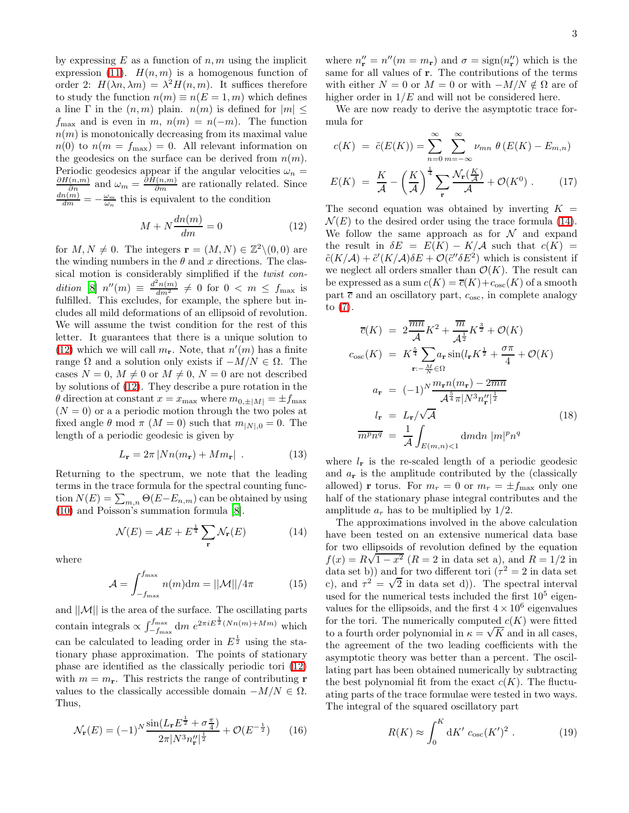by expressing  $E$  as a function of  $n, m$  using the implicit expression [\(11\)](#page-1-3).  $H(n, m)$  is a homogenous function of order 2:  $H(\lambda n, \lambda m) = \lambda^2 H(n, m)$ . It suffices therefore to study the function  $n(m) \equiv n(E = 1, m)$  which defines a line Γ in the  $(n, m)$  plain.  $n(m)$  is defined for  $|m| \leq$  $f_{\text{max}}$  and is even in m,  $n(m) = n(-m)$ . The function  $n(m)$  is monotonically decreasing from its maximal value  $n(0)$  to  $n(m = f_{\text{max}}) = 0$ . All relevant information on the geodesics on the surface can be derived from  $n(m)$ . Periodic geodesics appear if the angular velocities  $\omega_n = \frac{\partial H(n,m)}{\partial n}$  and  $\omega_m = \frac{\partial H(n,m)}{\partial m}$  are rationally related. Since  $\frac{dn(m)}{dm} = -\frac{\omega_m}{\omega_n}$  this is equivalent to the condition

<span id="page-2-1"></span>
$$
M + N \frac{dn(m)}{dm} = 0 \tag{12}
$$

for  $M, N \neq 0$ . The integers  $\mathbf{r} = (M, N) \in \mathbb{Z}^2 \setminus (0, 0)$  are the winding numbers in the  $\theta$  and x directions. The classical motion is considerably simplified if the twist condition  $[8]$   $n''(m) \equiv \frac{d^2 n(m)}{dm^2} \neq 0$  for  $0 < m \leq f_{\text{max}}$  is fulfilled. This excludes, for example, the sphere but includes all mild deformations of an ellipsoid of revolution. We will assume the twist condition for the rest of this letter. It guarantees that there is a unique solution to [\(12\)](#page-2-1) which we will call  $m_{\mathbf{r}}$ . Note, that  $n'(m)$  has a finite range  $\Omega$  and a solution only exists if  $-M/N \in \Omega$ . The cases  $N = 0$ ,  $M \neq 0$  or  $M \neq 0$ ,  $N = 0$  are not described by solutions of [\(12\)](#page-2-1). They describe a pure rotation in the  $\theta$  direction at constant  $x = x_{\text{max}}$  where  $m_{0,\pm|M|} = \pm f_{\text{max}}$  $(N = 0)$  or a a periodic motion through the two poles at fixed angle  $\theta$  mod  $\pi$  ( $M = 0$ ) such that  $m_{|N|,0} = 0$ . The length of a periodic geodesic is given by

$$
L_{\mathbf{r}} = 2\pi \left| Nn(m_{\mathbf{r}}) + Mm_{\mathbf{r}} \right| \tag{13}
$$

Returning to the spectrum, we note that the leading terms in the trace formula for the spectral counting function  $N(E) = \sum_{m,n} \Theta(E - E_{n,m})$  can be obtained by using [\(10\)](#page-1-4) and Poisson's summation formula [\[8\]](#page-3-8).

<span id="page-2-2"></span>
$$
\mathcal{N}(E) = \mathcal{A}E + E^{\frac{1}{4}} \sum_{\mathbf{r}} \mathcal{N}_{\mathbf{r}}(E) \tag{14}
$$

where

$$
\mathcal{A} = \int_{-f_{\text{max}}}^{f_{\text{max}}} n(m) \, \mathrm{d}m = ||\mathcal{M}|| / 4\pi \tag{15}
$$

and  $||\mathcal{M}||$  is the area of the surface. The oscillating parts contain integrals  $\propto \int_{-f_{\text{max}}}^{f_{\text{max}}} dm \ e^{2\pi i E^{\frac{1}{2}}(Nn(m)+Mm)}$  which can be calculated to leading order in  $E^{\frac{1}{2}}$  using the stationary phase approximation. The points of stationary phase are identified as the classically periodic tori [\(12\)](#page-2-1) with  $m = m_r$ . This restricts the range of contributing **r** values to the classically accessible domain  $-M/N \in \Omega$ . Thus,

$$
\mathcal{N}_{\mathbf{r}}(E) = (-1)^N \frac{\sin(L_{\mathbf{r}} E^{\frac{1}{2}} + \sigma \frac{\pi}{4})}{2\pi |N^3 n_{\mathbf{r}}''|^{\frac{1}{2}}} + \mathcal{O}(E^{-\frac{1}{2}})
$$
 (16)

where  $n''_{\mathbf{r}} = n''(m = m_{\mathbf{r}})$  and  $\sigma = \text{sign}(n''_{\mathbf{r}})$  which is the same for all values of r. The contributions of the terms with either  $N = 0$  or  $M = 0$  or with  $-M/N \notin \Omega$  are of higher order in  $1/E$  and will not be considered here.

We are now ready to derive the asymptotic trace formula for

$$
c(K) = \tilde{c}(E(K)) = \sum_{n=0}^{\infty} \sum_{m=-\infty}^{\infty} \nu_{mn} \theta(E(K) - E_{m,n})
$$

$$
E(K) = \frac{K}{\mathcal{A}} - \left(\frac{K}{\mathcal{A}}\right)^{\frac{1}{4}} \sum_{\mathbf{r}} \frac{\mathcal{N}_{\mathbf{r}}(\frac{K}{\mathcal{A}})}{\mathcal{A}} + \mathcal{O}(K^{0}). \tag{17}
$$

The second equation was obtained by inverting  $K =$  $\mathcal{N}(E)$  to the desired order using the trace formula [\(14\)](#page-2-2). We follow the same approach as for  $\mathcal N$  and expand the result in  $\delta E = E(K) - K/A$  such that  $c(K) =$  $\tilde{c}(K/A) + \tilde{c}'(K/A)\delta E + \mathcal{O}(\tilde{c}''\delta E^2)$  which is consistent if we neglect all orders smaller than  $\mathcal{O}(K)$ . The result can be expressed as a sum  $c(K) = \overline{c}(K) + c_{\text{osc}}(K)$  of a smooth part  $\bar{c}$  and an oscillatory part,  $c_{\rm osc}$ , in complete analogy to [\(7\)](#page-1-0).

<span id="page-2-0"></span>
$$
\overline{c}(K) = 2 \frac{\overline{mn}}{\mathcal{A}} K^2 + \frac{\overline{m}}{\mathcal{A}^{\frac{1}{2}}} K^{\frac{3}{2}} + \mathcal{O}(K)
$$
  
\n
$$
c_{\text{osc}}(K) = K^{\frac{5}{4}} \sum a_{\mathbf{r}} \sin(l_{\mathbf{r}} K^{\frac{1}{2}} + \frac{\sigma \pi}{4} + \mathcal{O}(K)
$$
  
\n
$$
a_{\mathbf{r}} = (-1)^N \frac{m_{\mathbf{r}} n(m_{\mathbf{r}}) - 2 \overline{m} \overline{n}}{\mathcal{A}^{\frac{5}{4}} \pi |N^3 n_{\mathbf{r}}''|^{\frac{1}{2}}}
$$
  
\n
$$
l_{\mathbf{r}} = L_{\mathbf{r}} / \sqrt{\mathcal{A}} \qquad (18)
$$
  
\n
$$
\overline{m^p n^q} = \frac{1}{\mathcal{A}} \int_{E(m,n) < 1} dmdn |m|^p n^q
$$

where  $l_r$  is the re-scaled length of a periodic geodesic and  $a_r$  is the amplitude contributed by the (classically allowed) **r** torus. For  $m_r = 0$  or  $m_r = \pm f_{\text{max}}$  only one half of the stationary phase integral contributes and the amplitude  $a_r$  has to be multiplied by  $1/2$ .

The approximations involved in the above calculation have been tested on an extensive numerical data base for two ellipsoids of revolution defined by the equation  $f(x) = R\sqrt{1-x^2}$  ( $R = 2$  in data set a), and  $R = 1/2$  in data set b)) and for two different tori  $(\tau^2 = 2 \text{ in data set})$ c), and  $\tau^2 = \sqrt{2}$  in data set d)). The spectral interval used for the numerical tests included the first  $10^5$  eigenvalues for the ellipsoids, and the first  $4 \times 10^6$  eigenvalues for the tori. The numerically computed  $c(K)$  were fitted to a fourth order polynomial in  $\kappa = \sqrt{K}$  and in all cases, the agreement of the two leading coefficients with the asymptotic theory was better than a percent. The oscillating part has been obtained numerically by subtracting the best polynomial fit from the exact  $c(K)$ . The fluctuating parts of the trace formulae were tested in two ways. The integral of the squared oscillatory part

$$
R(K) \approx \int_0^K \mathrm{d}K' c_{\rm osc}(K')^2 \ . \tag{19}
$$